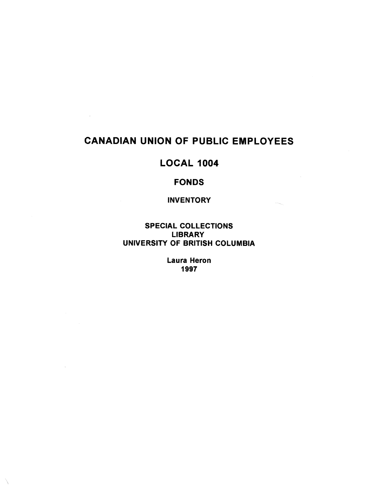### **CANADIAN UNION OF PUBLIC EMPLOYEES**

 $\sim 10^7$ 

### **LOCAL 1004**

#### **FONDS**

#### **INVENTORY**

**SPECIAL COLLECTIONS LIBRARY UNIVERSITY OF BRITISH COLUMBIA** 

> **Laura Heron 1997**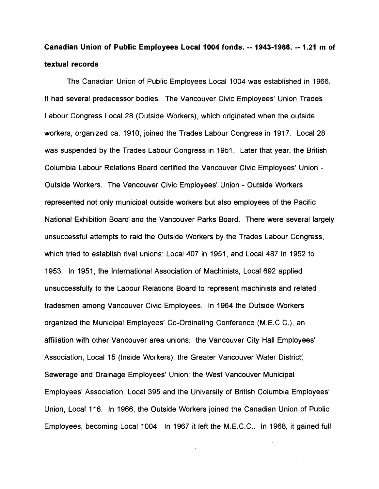# **Canadian Union of Public Employees Local 1004 fonds . -- 1943-1986. -- 1 .21 m of textual records**

The Canadian Union of Public Employees Local 1004 was established in 1966 . It had several predecessor bodies. The Vancouver Civic Employees' Union Trades Labour Congress Local 28 (Outside Workers), which originated when the outside workers, organized ca. 1910, joined the Trades Labour Congress in 1917. Local 28 was suspended by the Trades Labour Congress in 1951. Later that year, the British Columbia Labour Relations Board certified the Vancouver Civic Employees' Union - Outside Workers . The Vancouver Civic Employees' Union - Outside Workers represented not only municipal outside workers but also employees of the Pacific National Exhibition Board and the Vancouver Parks Board. There were several largely unsuccessful attempts to raid the Outside Workers by the Trades Labour Congress , which tried to establish rival unions: Local 407 in 1951, and Local 487 in 1952 to 1953. In 1951, the International Association of Machinists, Local 692 applied unsuccessfully to the Labour Relations Board to represent machinists and relate d tradesmen among Vancouver Civic Employees. In 1964 the Outside Workers organized the Municipal Employees' Co-Ordinating Conference (M.E.C.C.), an affiliation with other Vancouver area unions: the Vancouver City Hall Employees' Association, Local 15 (Inside Workers); the Greater Vancouver Water District, Sewerage and Drainage Employees' Union; the West Vancouver Municipal Employees' Association, Local 395 and the University of British Columbia Employees ' Union, Local 116. In 1966, the Outside Workers joined the Canadian Union of Public Employees, becoming Local 1004. In 1967 it left the M.E.C.C.. In 1968, it gained full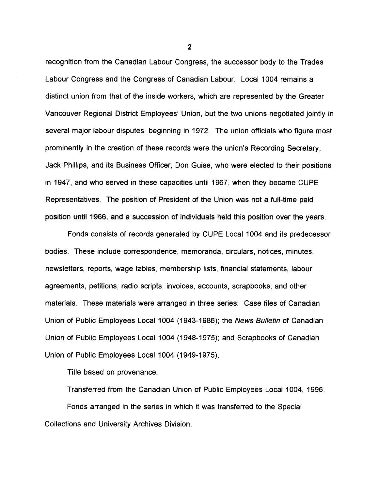recognition from the Canadian Labour Congress, the successor body to the Trades Labour Congress and the Congress of Canadian Labour. Local 1004 remains a distinct union from that of the inside workers, which are represented by the Greater Vancouver Regional District Employees' Union, but the two unions negotiated jointly in several major labour disputes, beginning in 1972. The union officials who figure most prominently in the creation of these records were the union's Recording Secretary , Jack Phillips, and its Business Officer, Don Guise, who were elected to their positions in 1947, and who served in these capacities until 1967, when they became CUPE Representatives. The position of President of the Union was not a full-time paid position until 1966, and a succession of individuals held this position over the years .

Fonds consists of records generated by CUPE Local 1004 and its predecessor bodies. These include correspondence, memoranda, circulars, notices, minutes , newsletters, reports, wage tables, membership lists, financial statements, labour agreements, petitions, radio scripts, invoices, accounts, scrapbooks, and other materials. These materials were arranged in three series : Case files of Canadian Union of Public Employees Local 1004 (1943-1986) ; the *News Bulletin of* Canadian Union of Public Employees Local 1004 (1948-1975); and Scrapbooks of Canadian Union *of* Public Employees Local 1004 (1949-1975).

Title based on provenance.

Transferred from the Canadian Union of Public Employees Local 1004, 1996 . Fonds arranged in the series in which it was transferred to the Special Collections and University Archives Division .

**2**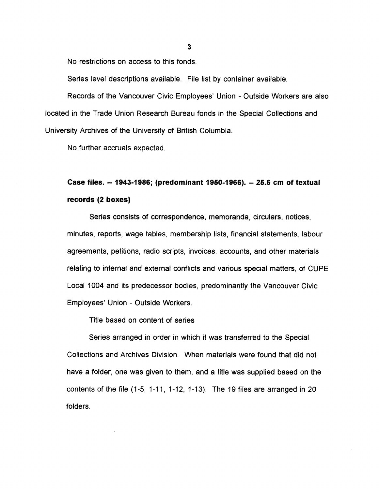No restrictions on access to this fonds.

Series level descriptions available. File list by container available.

Records of the Vancouver Civic Employees' Union - Outside Workers are also located in the Trade Union Research Bureau fonds in the Special Collections and University Archives of the University of British Columbia.

No further accruals expected .

# **Case files. — 1943-1986 ; (predominant 1950-1966) . -- 25.6 cm of textua <sup>l</sup> records (2 boxes)**

Series consists of correspondence, memoranda, circulars, notices, minutes, reports, wage tables, membership lists, financial statements, labou r agreements, petitions, radio scripts, invoices, accounts, and other material s relating to internal and external conflicts and various special matters, of CUPE Local 1004 and its predecessor bodies, predominantly the Vancouver Civic Employees' Union - Outside Workers.

Title based on content of series

Series arranged in order in which it was transferred to the Special Collections and Archives Division. When materials were found that did not have a folder, one was given to them, and a title was supplied based on the contents of the file (1-5, 1-11, 1-12, 1-13) . The 19 files are arranged in 20 folders .

**3**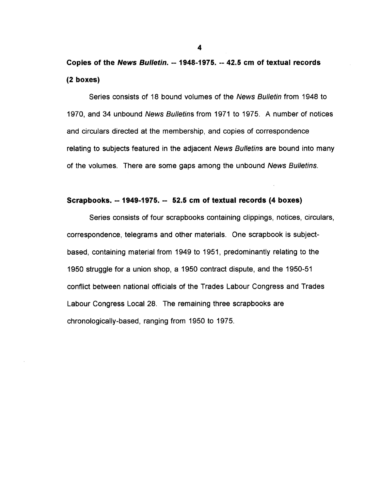# **Copies of the** *News Bulletin. --* **1948-1975. --** *42.5 cm of* **textual records** *(2* **boxes)**

Series consists of 18 bound volumes of the *News Bulletin* from 1948 to 1970, and 34 unbound *News Bulletins* from 1971 to 1975 . A number of notices and circulars directed at the membership, and copies of correspondence relating to subjects featured in the adjacent *News Bulletins* are bound into many of the volumes. There are some gaps among the unbound *News Bulletins.*

#### **Scrapbooks . -- 1949-1975. --** *52.5 cm of* **textual** *records* **(4 boxes)**

Series consists of four scrapbooks containing clippings, notices, circulars , correspondence, telegrams and other materials. One scrapbook is subjectbased, containing material from 1949 to 1951, predominantly relating to the 1950 struggle for a union shop, a 1950 contract dispute, and the 1950-51 conflict between national officials of the Trades Labour Congress and Trades Labour Congress Local 28. The remaining three scrapbooks are chronologically-based, ranging from 1950 to 1975 .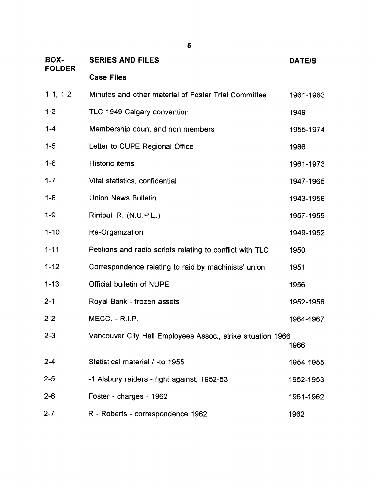| BOX-<br><b>FOLDER</b> | <b>SERIES AND FILES</b>                                     | <b>DATE/S</b> |
|-----------------------|-------------------------------------------------------------|---------------|
|                       | <b>Case Files</b>                                           |               |
| $1-1, 1-2$            | Minutes and other material of Foster Trial Committee        | 1961-1963     |
| $1 - 3$               | TLC 1949 Calgary convention                                 | 1949          |
| $1 - 4$               | Membership count and non members                            | 1955-1974     |
| $1 - 5$               | Letter to CUPE Regional Office                              | 1986          |
| $1 - 6$               | <b>Historic items</b>                                       | 1961-1973     |
| $1 - 7$               | Vital statistics, confidential                              | 1947-1965     |
| $1 - 8$               | <b>Union News Bulletin</b>                                  | 1943-1958     |
| $1 - 9$               | Rintoul, R. (N.U.P.E.)                                      | 1957-1959     |
| $1 - 10$              | Re-Organization                                             | 1949-1952     |
| $1 - 11$              | Petitions and radio scripts relating to conflict with TLC   | 1950          |
| $1 - 12$              | Correspondence relating to raid by machinists' union        | 1951          |
| $1 - 13$              | <b>Official bulletin of NUPE</b>                            | 1956          |
| $2 - 1$               | Royal Bank - frozen assets                                  | 1952-1958     |
| $2 - 2$               | MECC. - R.I.P.                                              | 1964-1967     |
| $2 - 3$               | Vancouver City Hall Employees Assoc., strike situation 1966 | 1966          |
| $2 - 4$               | Statistical material / -to 1955                             | 1954-1955     |
| $2 - 5$               | -1 Alsbury raiders - fight against, 1952-53                 | 1952-1953     |
| $2 - 6$               | Foster - charges - 1962                                     | 1961-1962     |
| $2 - 7$               | R - Roberts - correspondence 1962                           | 1962          |

**5**